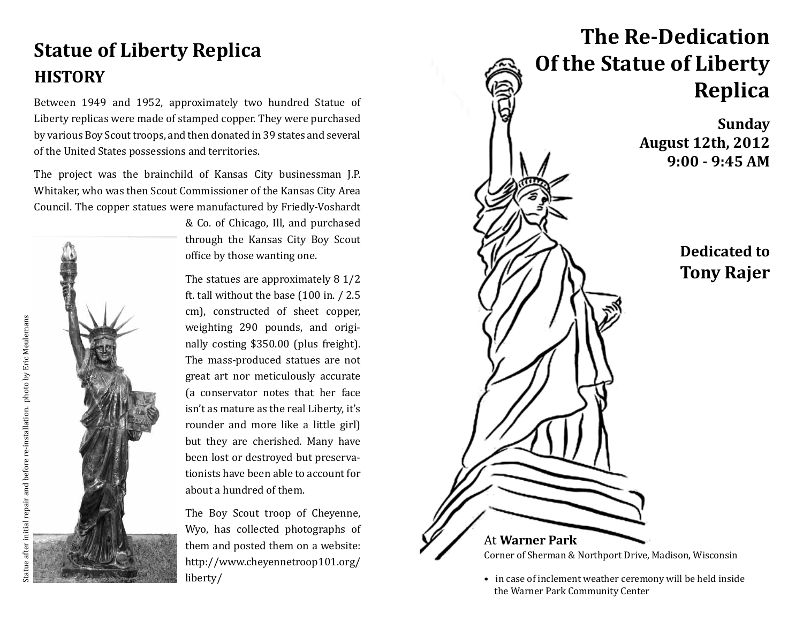## **Statue of Liberty Replica HISTORY**

Between 1949 and 1952, approximately two hundred Statue of Liberty replicas were made of stamped copper. They were purchased by various Boy Scout troops, and then donated in 39 states and several of the United States possessions and territories.

The project was the brainchild of Kansas City businessman J.P. Whitaker, who was then Scout Commissioner of the Kansas City Area Council. The copper statues were manufactured by Friedly-Voshardt

& Co. of Chicago, Ill, and purchased through the Kansas City Boy Scout office by those wanting one.

The statues are approximately 8 1/2 ft. tall without the base (100 in. / 2.5 cm), constructed of sheet copper, weighting 290 pounds, and originally costing \$350.00 (plus freight). The mass-produced statues are not great art nor meticulously accurate (a conservator notes that her face isn't as mature as the real Liberty, it's rounder and more like a little girl) but they are cherished. Many have been lost or destroyed but preservationists have been able to account for about a hundred of them.

The Boy Scout troop of Cheyenne, Wyo, has collected photographs of them and posted them on a website: http://www.cheyennetroop101.org/ liberty/



• in case of inclement weather ceremony will be held inside the Warner Park Community Center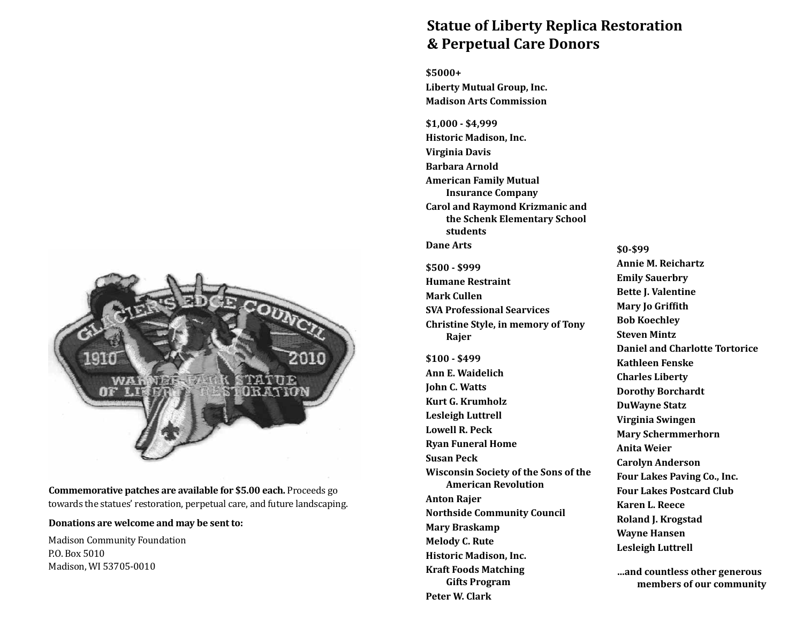## **Statue of Liberty Replica Restoration & Perpetual Care Donors**

**\$5000+ Liberty Mutual Group, Inc. Madison Arts Commission**

**\$1,000 - \$4,999 Historic Madison, Inc. Virginia Davis Barbara Arnold American Family Mutual Insurance Company Carol and Raymond Krizmanic and the Schenk Elementary School students Dane Arts**

**\$500 - \$999 Humane Restraint Mark Cullen SVA Professional Searvices Christine Style, in memory of Tony Rajer**

**\$100 - \$499 Ann E. Waidelich John C. Watts Kurt G. Krumholz Lesleigh Luttrell Lowell R. Peck Ryan Funeral Home Susan Peck Wisconsin Society of the Sons of the American Revolution Anton Rajer Northside Community Council Mary Braskamp Melody C. Rute Historic Madison, Inc. Kraft Foods Matching Gifts Program Peter W. Clark**

**\$0-\$99 Annie M. Reichartz Emily Sauerbry Bette J. Valentine Mary Jo Griffith Bob Koechley Steven Mintz Daniel and Charlotte Tortorice Kathleen Fenske Charles Liberty Dorothy Borchardt DuWayne Statz Virginia Swingen Mary Schermmerhorn Anita Weier Carolyn Anderson Four Lakes Paving Co., Inc. Four Lakes Postcard Club Karen L. Reece Roland J. Krogstad Wayne Hansen Lesleigh Luttrell**

**…and countless other generous members of our community**



**Commemorative patches are available for \$5.00 each.** Proceeds go towards the statues' restoration, perpetual care, and future landscaping.

#### **Donations are welcome and may be sent to:**

Madison Community Foundation P.O. Box 5010 Madison, WI 53705-0010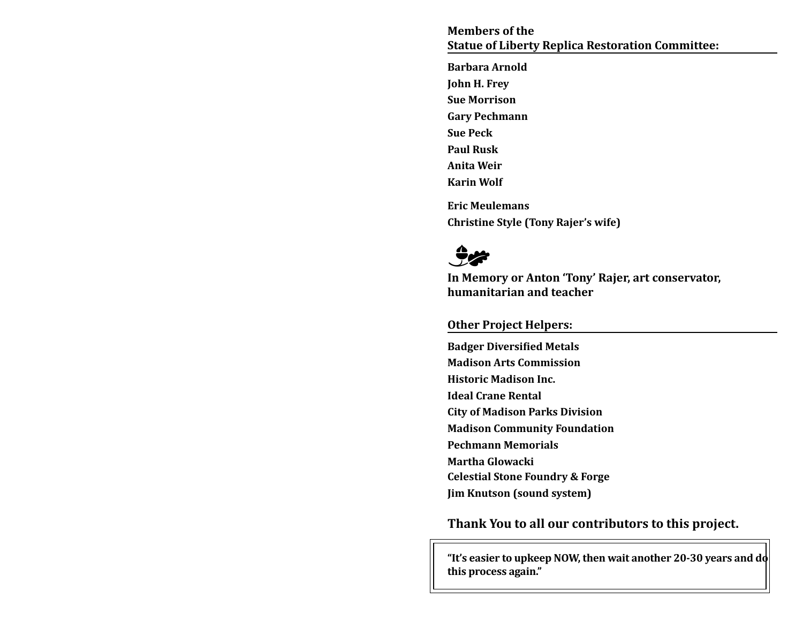**Members of the Statue of Liberty Replica Restoration Committee:**

**Barbara Arnold John H. Frey Sue Morrison Gary Pechmann Sue Peck Paul Rusk Anita Weir Karin Wolf Eric Meulemans Christine Style (Tony Rajer's wife)**



**In Memory or Anton 'Tony' Rajer, art conservator, humanitarian and teacher**

#### **Other Project Helpers:**

**Badger Diversified Metals Madison Arts Commission Historic Madison Inc. Ideal Crane Rental City of Madison Parks Division Madison Community Foundation Pechmann Memorials Martha Glowacki Celestial Stone Foundry & Forge Jim Knutson (sound system)**

**Thank You to all our contributors to this project.**

**"It's easier to upkeep NOW, then wait another 20-30 years and do this process again."**